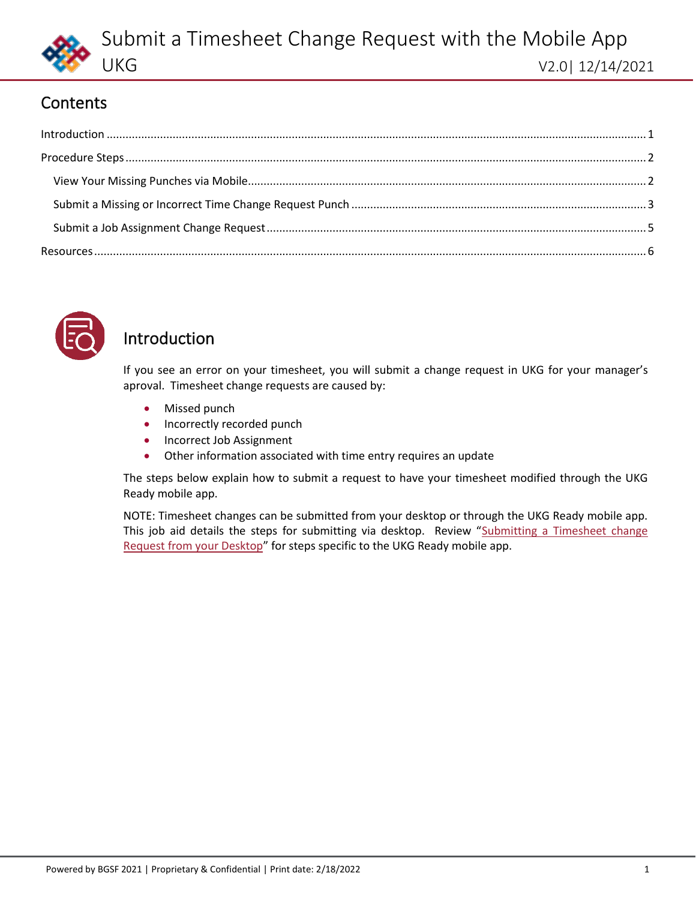

## **Contents**

<span id="page-0-1"></span>



## <span id="page-0-0"></span>Introduction

If you see an error on your timesheet, you will submit a change request in UKG for your manager's aproval. Timesheet change requests are caused by:

- Missed punch
- Incorrectly recorded punch
- Incorrect Job Assignment
- Other information associated with time entry requires an update

The steps below explain how to submit a request to have your timesheet modified through the UKG Ready mobile app.

NOTE: Timesheet changes can be submitted from your desktop or through the UKG Ready mobile app. This job aid details the steps for submitting via desktop. Review "Submitting a Timesheet change [Request from your Desktop](#page-5-0)" for steps specific to the UKG Ready mobile app.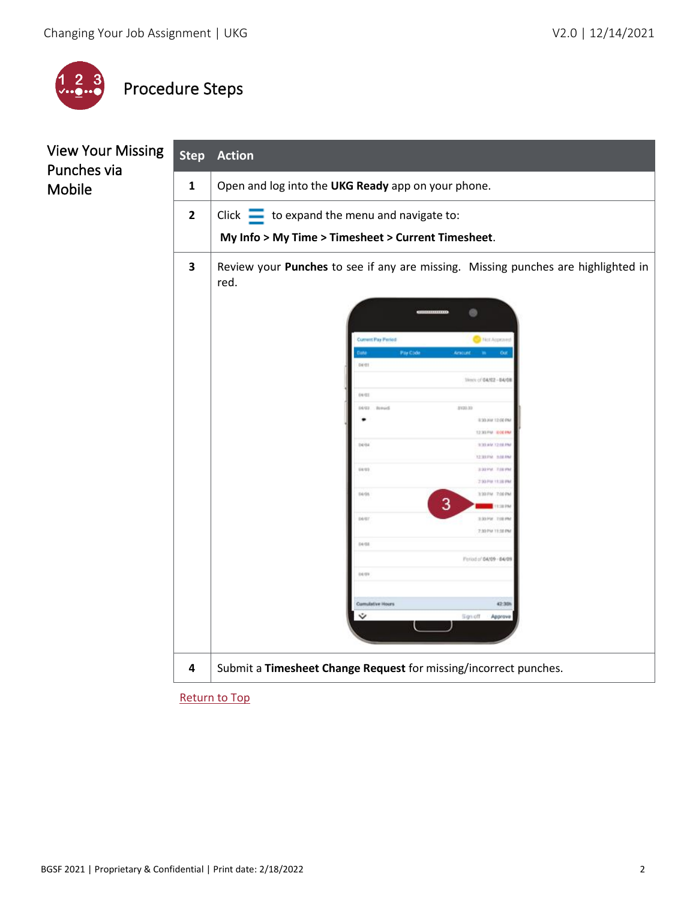

# <span id="page-1-0"></span>Procedure Steps

<span id="page-1-1"></span>

| <b>View Your Missing</b><br>Punches via | <b>Step</b>    | <b>Action</b>                                                                                  |  |  |  |
|-----------------------------------------|----------------|------------------------------------------------------------------------------------------------|--|--|--|
| Mobile                                  | $\mathbf 1$    | Open and log into the UKG Ready app on your phone.                                             |  |  |  |
|                                         | $\overline{2}$ | Click $\equiv$ to expand the menu and navigate to:                                             |  |  |  |
|                                         |                | My Info > My Time > Timesheet > Current Timesheet.                                             |  |  |  |
|                                         | 3              | Review your Punches to see if any are missing. Missing punches are highlighted in<br>red.      |  |  |  |
|                                         |                | ø                                                                                              |  |  |  |
|                                         |                | <b>Current Pay Paried</b><br><b>FRIST Account</b><br><b>Par Code</b><br>Amount.<br>Out<br>DEST |  |  |  |
|                                         |                | Week of 04/02 - 04/08<br>04/03                                                                 |  |  |  |
|                                         |                | 04/83<br><b>Renad</b><br>8100.00<br>8:30 AW 12:00 PM                                           |  |  |  |
|                                         |                | 12.33 PM 0.00 PM<br>1494<br>930 AM 1216 PM<br>12 331 FM 9-00 FM                                |  |  |  |
|                                         |                | 14/13<br>SUSPICE FOUR<br>7.93 PM 13 38 PM                                                      |  |  |  |
|                                         |                | 14/15<br>3337W 700PM<br>3<br>1:38.79                                                           |  |  |  |
|                                         |                | pegy<br>330 PM 710 PM<br>2.30 PM 11:30 PM                                                      |  |  |  |
|                                         |                | 04/08<br>Feriod of 64/09 - 64/09                                                               |  |  |  |
|                                         |                | ous                                                                                            |  |  |  |
|                                         |                | <b>Cumulative Hours</b><br>42.30h<br>5 gn off<br>Approve                                       |  |  |  |
|                                         |                |                                                                                                |  |  |  |
|                                         | 4              | Submit a Timesheet Change Request for missing/incorrect punches.                               |  |  |  |
|                                         |                |                                                                                                |  |  |  |

[Return to Top](#page-0-1)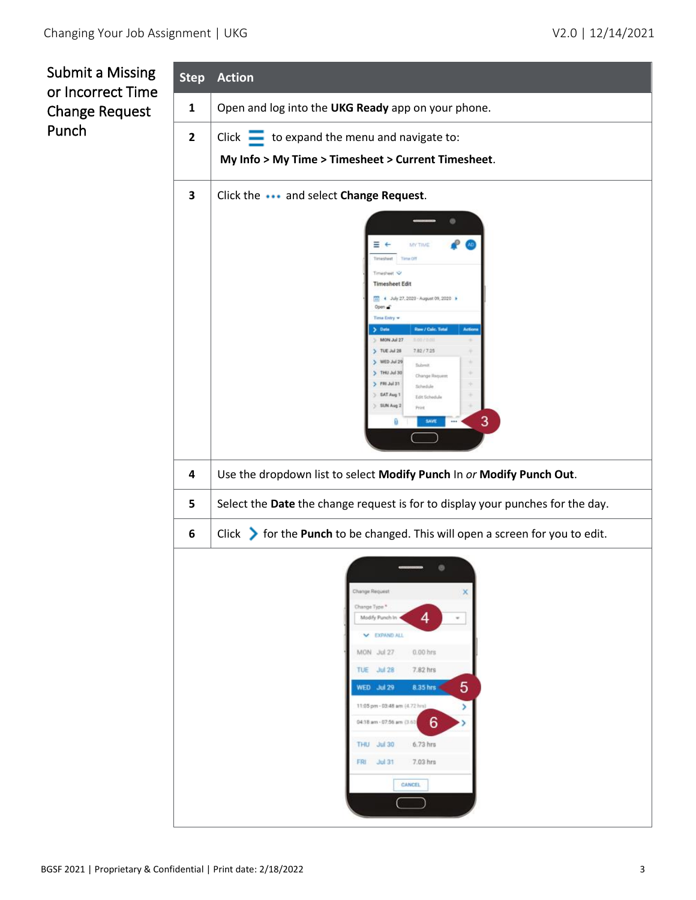<span id="page-2-0"></span>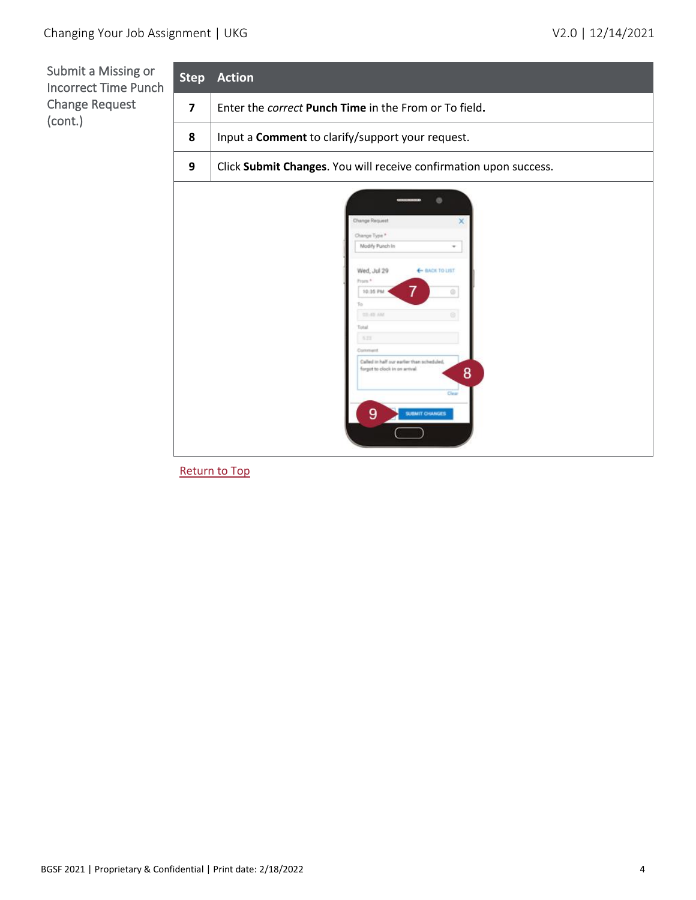Submit a Missing or **Step Action** Incorrect Time Punch Change Request **7** Enter the *correct* **Punch Time** in the From or To field**.** (cont.) **8** Input a **Comment** to clarify/support your request. **9** Click **Submit Changes**. You will receive confirmation upon success. hange Request Change Type \* Modify Punch In v Wed, Jul 29 + BACK TO LIST 10:35 PM  $\circ$ Ýo. iiu  $\times$ Called in half our earlier than subeduled forget to clock in on armsal. 8 9

[Return to Top](#page-0-1)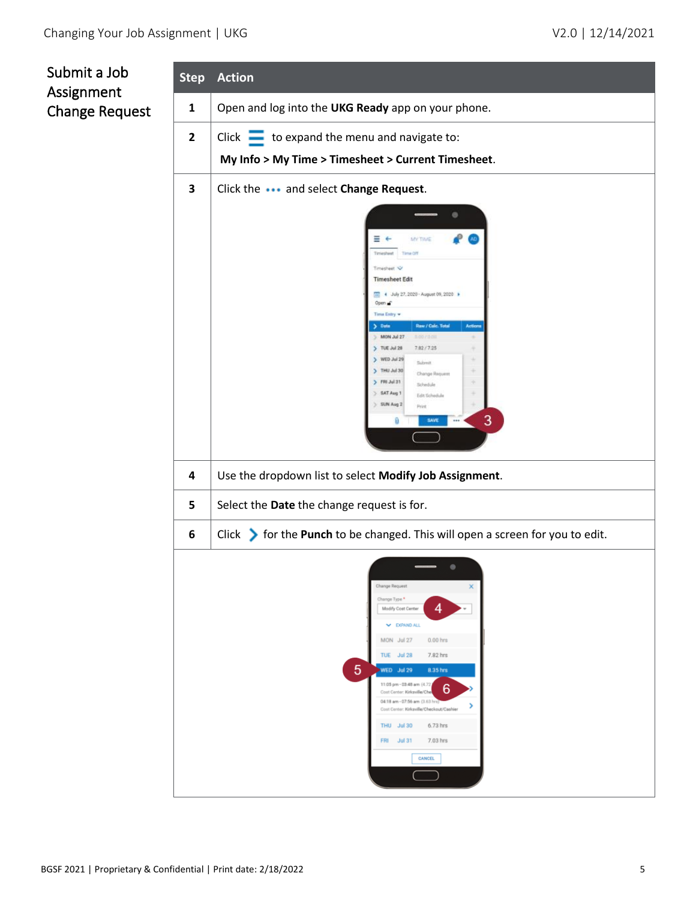<span id="page-4-0"></span>